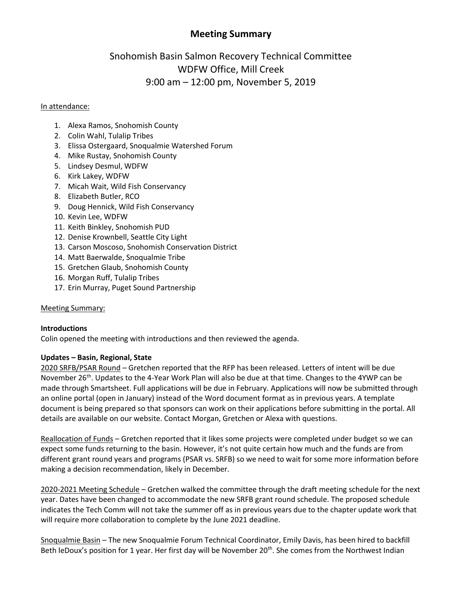# **Meeting Summary**

# Snohomish Basin Salmon Recovery Technical Committee WDFW Office, Mill Creek 9:00 am – 12:00 pm, November 5, 2019

## In attendance:

- 1. Alexa Ramos, Snohomish County
- 2. Colin Wahl, Tulalip Tribes
- 3. Elissa Ostergaard, Snoqualmie Watershed Forum
- 4. Mike Rustay, Snohomish County
- 5. Lindsey Desmul, WDFW
- 6. Kirk Lakey, WDFW
- 7. Micah Wait, Wild Fish Conservancy
- 8. Elizabeth Butler, RCO
- 9. Doug Hennick, Wild Fish Conservancy
- 10. Kevin Lee, WDFW
- 11. Keith Binkley, Snohomish PUD
- 12. Denise Krownbell, Seattle City Light
- 13. Carson Moscoso, Snohomish Conservation District
- 14. Matt Baerwalde, Snoqualmie Tribe
- 15. Gretchen Glaub, Snohomish County
- 16. Morgan Ruff, Tulalip Tribes
- 17. Erin Murray, Puget Sound Partnership

## Meeting Summary:

## **Introductions**

Colin opened the meeting with introductions and then reviewed the agenda.

## **Updates – Basin, Regional, State**

2020 SRFB/PSAR Round – Gretchen reported that the RFP has been released. Letters of intent will be due November 26<sup>th</sup>. Updates to the 4-Year Work Plan will also be due at that time. Changes to the 4YWP can be made through Smartsheet. Full applications will be due in February. Applications will now be submitted through an online portal (open in January) instead of the Word document format as in previous years. A template document is being prepared so that sponsors can work on their applications before submitting in the portal. All details are available on our website. Contact Morgan, Gretchen or Alexa with questions.

Reallocation of Funds – Gretchen reported that it likes some projects were completed under budget so we can expect some funds returning to the basin. However, it's not quite certain how much and the funds are from different grant round years and programs (PSAR vs. SRFB) so we need to wait for some more information before making a decision recommendation, likely in December.

2020-2021 Meeting Schedule – Gretchen walked the committee through the draft meeting schedule for the next year. Dates have been changed to accommodate the new SRFB grant round schedule. The proposed schedule indicates the Tech Comm will not take the summer off as in previous years due to the chapter update work that will require more collaboration to complete by the June 2021 deadline.

Snoqualmie Basin – The new Snoqualmie Forum Technical Coordinator, Emily Davis, has been hired to backfill Beth leDoux's position for 1 year. Her first day will be November 20<sup>th</sup>. She comes from the Northwest Indian